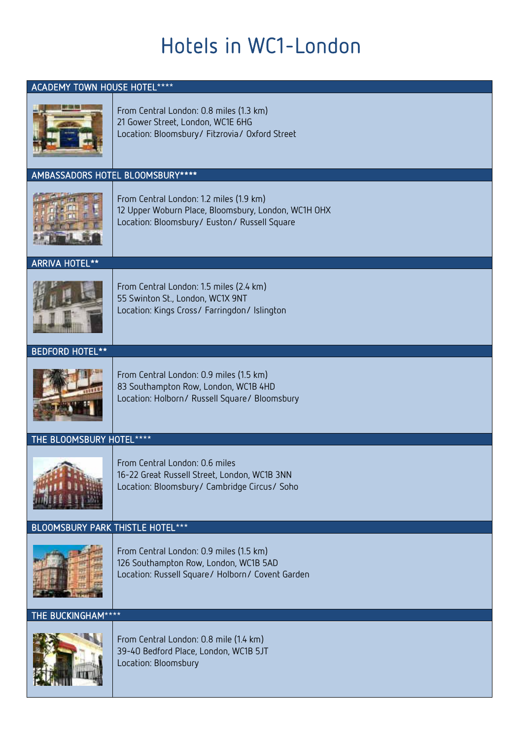# Hotels in WC1-London

## ACADEMY TOWN HOUSE HOTEL\*\*\*\*



### From Central London: 0.8 miles (1.3 km) 21 Gower Street, London, WC1E 6HG Location: Bloomsbury/ Fitzrovia/ Oxford Street

## AMBASSADORS HOTEL BLOOMSBURY\*\*\*\*



From Central London: 1.2 miles (1.9 km) 12 Upper Woburn Place, Bloomsbury, London, WC1H OHX Location: Bloomsbury/ Euston/ Russell Square

ARRIVA HOTEL\*\*



From Central London: 1.5 miles (2.4 km) 55 Swinton St., London, WC1X 9NT Location: Kings Cross/ Farringdon/ Islington

#### BEDFORD HOTEL\*\*



From Central London: 0.9 miles (1.5 km) 83 Southampton Row, London, WC1B 4HD Location: Holborn/ Russell Square/ Bloomsbury

## THE BLOOMSBURY HOTEL\*\*\*\*



From Central London: 0.6 miles 16-22 Great Russell Street, London, WC1B 3NN Location: Bloomsbury/ Cambridge Circus/ Soho

# BLOOMSBURY PARK THISTLE HOTEL\*\*\*



From Central London: 0.9 miles (1.5 km) 126 Southampton Row, London, WC1B 5AD Location: Russell Square/ Holborn/ Covent Garden

THE BUCKINGHAM\*\*\*\*



From Central London: 0.8 mile (1.4 km) 39-40 Bedford Place, London, WC1B 5JT Location: Bloomsbury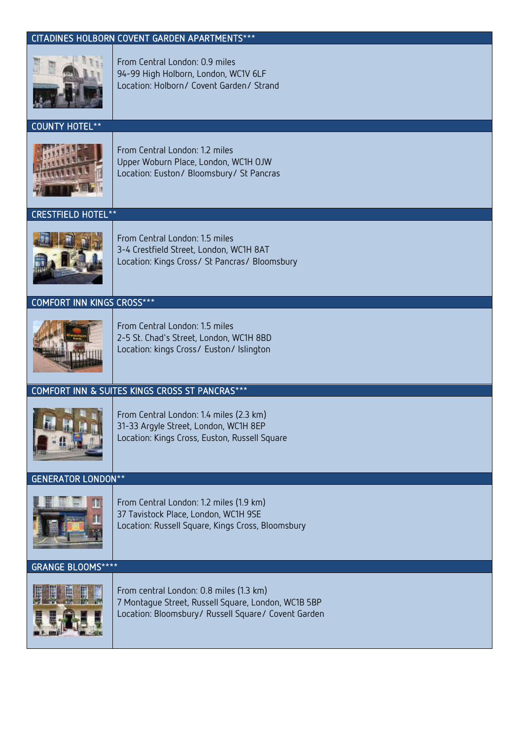# CITADINES HOLBORN COVENT GARDEN APARTMENTS\*\*\*



From Central London: 0.9 miles 94-99 High Holborn, London, WC1V 6LF Location: Holborn/ Covent Garden/ Strand

#### COUNTY HOTEL\*\*



From Central London: 1.2 miles Upper Woburn Place, London, WC1H OJW Location: Euston/ Bloomsbury/ St Pancras

#### **HOTEL**



From Central London: 1.5 miles 3-4 Crestfield Street, London, WC1H 8AT Location: Kings Cross/ St Pancras/ Bloomsbury

#### COMFORT INN KINGS CROSS\*\*\*



From Central London: 1.5 miles 2-5 St. Chad's Street, London, WC1H 8BD Location: kings Cross/ Euston/ Islington

### COMFORT INN & SUITES KINGS CROSS ST PANCRAS\*\*\*



From Central London: 1.4 miles (2.3 km) 31-33 Argyle Street, London, WC1H 8EP Location: Kings Cross, Euston, Russell Square

#### GENERATOR LONDON\*\*



From Central London: 1.2 miles (1.9 km) 37 Tavistock Place, London, WC1H 9SE Location: Russell Square, Kings Cross, Bloomsbury

#### GRANGE BLOOMS\*\*\*\*



From central London: 0.8 miles (1.3 km) 7 Montague Street, Russell Square, London, WC1B 5BP Location: Bloomsbury/ Russell Square/ Covent Garden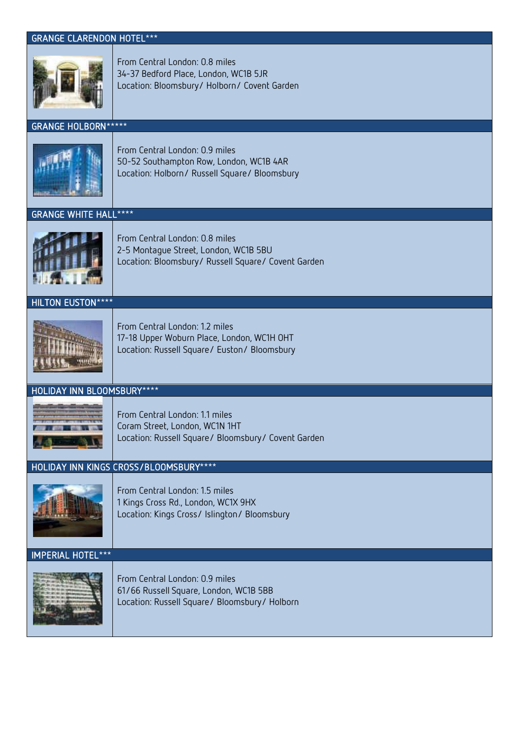#### GRANGE CLARENDON HOTEL\*\*\*



From Central London: 0.8 miles 34-37 Bedford Place, London, WC1B 5JR Location: Bloomsbury/ Holborn/ Covent Garden

#### GRANGE HOLBORN\*\*\*\*\*



From Central London: 0.9 miles 50-52 Southampton Row, London, WC1B 4AR Location: Holborn/ Russell Square/ Bloomsbury

GRANGE WHITE HALL\*\*\*\*



From Central London: 0.8 miles 2-5 Montague Street, London, WC1B 5BU Location: Bloomsbury/ Russell Square/ Covent Garden

HILTON EUSTON\*\*\*\*



From Central London: 1.2 miles 17-18 Upper Woburn Place, London, WC1H OHT Location: Russell Square/ Euston/ Bloomsbury

## HOLIDAY INN BLOOMSBURY\*\*\*\*



From Central London: 1.1 miles Coram Street, London, WC1N 1HT Location: Russell Square/ Bloomsbury/ Covent Garden

#### HOLIDAY INN KINGS CROSS/BLOOMSBURY\*\*\*\*



From Central London: 1.5 miles 1 Kings Cross Rd., London, WC1X 9HX Location: Kings Cross/ Islington/ Bloomsbury

IMPERIAL HOTEL\*\*\*



From Central London: 0.9 miles 61/66 Russell Square, London, WC1B 5BB Location: Russell Square/ Bloomsbury/ Holborn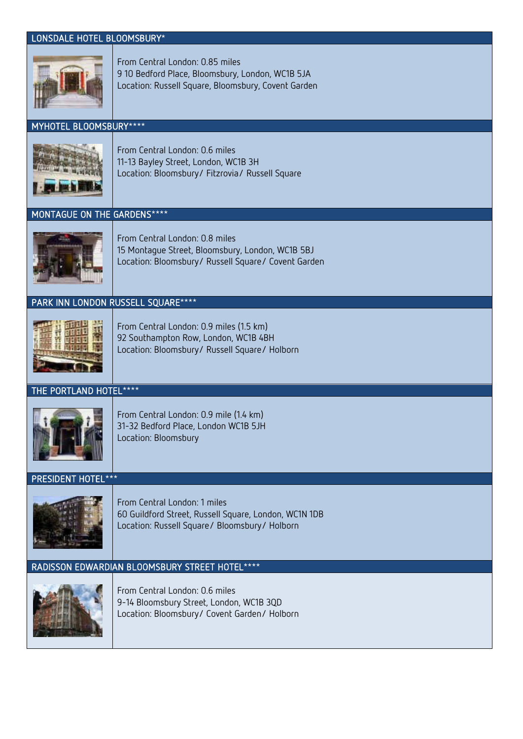#### LONSDALE HOTEL BLOOMSBURY\*



From Central London: 0.85 miles 9 10 Bedford Place, Bloomsbury, London, WC1B 5JA Location: Russell Square, Bloomsbury, Covent Garden

# MYHOTEL BLOOMSBURY\*\*\*\*



From Central London: 0.6 miles 11-13 Bayley Street, London, WC1B 3H Location: Bloomsbury/ Fitzrovia/ Russell Square

## MONTAGUE ON THE GARDENS\*\*\*\*



From Central London: 0.8 miles 15 Montague Street, Bloomsbury, London, WC1B 5BJ Location: Bloomsbury/ Russell Square/ Covent Garden

## PARK INN LONDON RUSSELL SQUARE\*\*\*\*



From Central London: 0.9 miles (1.5 km) 92 Southampton Row, London, WC1B 4BH Location: Bloomsbury/ Russell Square/ Holborn

## THE PORTLAND HOTEL\*\*\*\*



From Central London: 0.9 mile (1.4 km) 31-32 Bedford Place, London WC1B 5JH Location: Bloomsbury

#### PRESIDENT HOTEL\*\*\*



From Central London: 1 miles 60 Guildford Street, Russell Square, London, WC1N 1DB Location: Russell Square/ Bloomsbury/ Holborn

### RADISSON EDWARDIAN BLOOMSBURY STREET HOTEL\*\*\*\*



From Central London: 0.6 miles 9-14 Bloomsbury Street, London, WC1B 3QD Location: Bloomsbury/ Covent Garden/ Holborn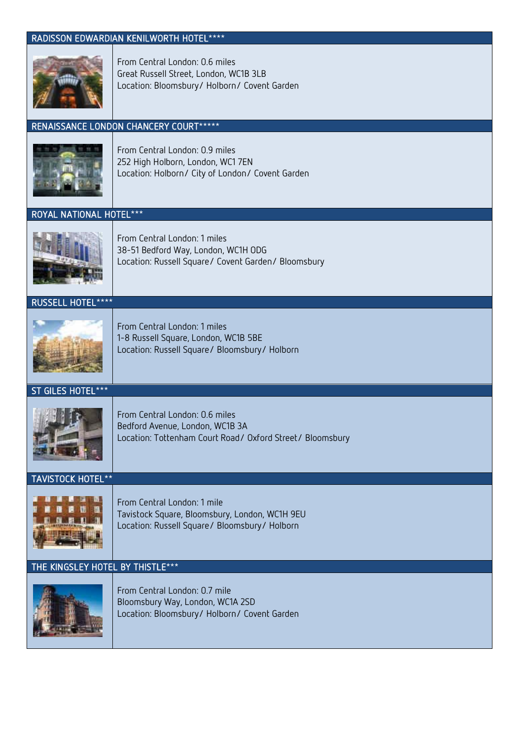## RADISSON EDWARDIAN KENILWORTH HOTEL\*\*\*\*



From Central London: 0.6 miles Great Russell Street, London, WC1B 3LB Location: Bloomsbury/ Holborn/ Covent Garden

# RENAISSANCE LONDON CHANCERY COURT\*\*\*\*\*



From Central London: 0.9 miles 252 High Holborn, London, WC1 7EN Location: Holborn/ City of London/ Covent Garden

## ROYAL NATIONAL HOTEL\*\*\*



From Central London: 1 miles 38-51 Bedford Way, London, WC1H ODG Location: Russell Square/ Covent Garden/ Bloomsbury

RUSSELL HOTEL\*\*\*\*



From Central London: 1 miles 1-8 Russell Square, London, WC1B 5BE Location: Russell Square/ Bloomsbury/ Holborn

ST GILES HOTEL\*\*\*



From Central London: 0.6 miles Bedford Avenue, London, WC1B 3A Location: Tottenham Court Road/ Oxford Street/ Bloomsbury

TAVISTOCK HOTEL\*\*



From Central London: 1 mile Tavistock Square, Bloomsbury, London, WC1H 9EU Location: Russell Square/ Bloomsbury/ Holborn

## THE KINGSLEY HOTEL BY THISTLE\*\*\*



From Central London: 0.7 mile Bloomsbury Way, London, WC1A 2SD Location: Bloomsbury/ Holborn/ Covent Garden